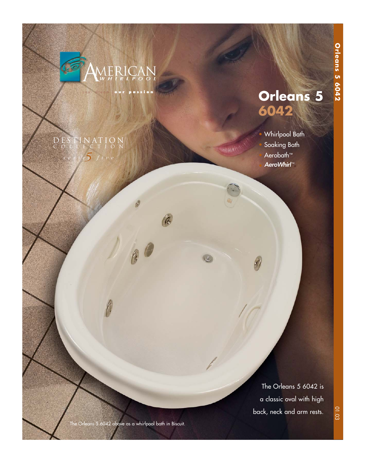

your dream [ **our passion** ]

k.

### *5 series five* DESTINATION COLLECTION

# **Orleans 5 6042**

## • Whirlpool Bath Soaking Bath Aerobath<sup>™</sup> AeroWhirl™

4

"INHANALY!"

The Orleans 5 6042 is a classic oval with high back, neck and arm rests.

The Orleans 5 6042 above as a whirlpool bath in Biscuit.